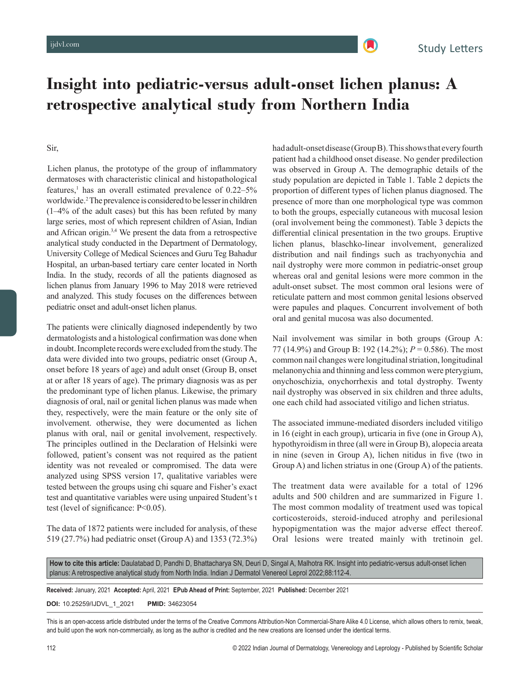

# **Insight into pediatric-versus adult-onset lichen planus: A retrospective analytical study from Northern India**

### Sir,

 Lichen planus, the prototype of the group of inflammatory dermatoses with characteristic clinical and histopathological features,<sup>1</sup> has an overall estimated prevalence of  $0.22-5%$ worldwide.2 The prevalence is considered to be lesser in children (1–4% of the adult cases) but this has been refuted by many large series, most of which represent children of Asian, Indian and African origin.3,4 We present the data from a retrospective analytical study conducted in the Department of Dermatology, University College of Medical Sciences and Guru Teg Bahadur Hospital, an urban-based tertiary care center located in North India. In the study, records of all the patients diagnosed as lichen planus from January 1996 to May 2018 were retrieved and analyzed. This study focuses on the differences between pediatric onset and adult-onset lichen planus.

The patients were clinically diagnosed independently by two dermatologists and a histological confirmation was done when in doubt. Incomplete records were excluded from the study. The data were divided into two groups, pediatric onset (Group A, onset before 18 years of age) and adult onset (Group B, onset at or after 18 years of age). The primary diagnosis was as per the predominant type of lichen planus. Likewise, the primary diagnosis of oral, nail or genital lichen planus was made when they, respectively, were the main feature or the only site of involvement. otherwise, they were documented as lichen planus with oral, nail or genital involvement, respectively. The principles outlined in the Declaration of Helsinki were followed, patient's consent was not required as the patient identity was not revealed or compromised. The data were analyzed using SPSS version 17, qualitative variables were tested between the groups using chi square and Fisher's exact test and quantitative variables were using unpaired Student's t test (level of significance: P<0.05).

The data of 1872 patients were included for analysis, of these 519 (27.7%) had pediatric onset (Group A) and 1353 (72.3%) had adult-onset disease (GroupB). This shows that every fourth patient had a childhood onset disease. No gender predilection was observed in Group A. The demographic details of the study population are depicted in Table 1. Table 2 depicts the proportion of different types of lichen planus diagnosed. The presence of more than one morphological type was common to both the groups, especially cutaneous with mucosal lesion (oral involvement being the commonest). Table 3 depicts the differential clinical presentation in the two groups. Eruptive lichen planus, blaschko-linear involvement, generalized distribution and nail findings such as trachyonychia and nail dystrophy were more common in pediatric-onset group whereas oral and genital lesions were more common in the adult-onset subset. The most common oral lesions were of reticulate pattern and most common genital lesions observed were papules and plaques. Concurrent involvement of both oral and genital mucosa was also documented.

Nail involvement was similar in both groups (Group A: 77 (14.9%) and Group B: 192 (14.2%); *P* = 0.586). The most common nail changes were longitudinal striation, longitudinal melanonychia and thinning and less common were pterygium, onychoschizia, onychorrhexis and total dystrophy. Twenty nail dystrophy was observed in six children and three adults, one each child had associated vitiligo and lichen striatus.

The associated immune-mediated disorders included vitiligo in 16 (eight in each group), urticaria in five (one in Group A), hypothyroidism in three (all were in Group B), alopecia areata in nine (seven in Group A), lichen nitidus in five (two in Group A) and lichen striatus in one (Group A) of the patients.

The treatment data were available for a total of 1296 adults and 500 children and are summarized in Figure 1. The most common modality of treatment used was topical corticosteroids, steroid-induced atrophy and perilesional hypopigmentation was the major adverse effect thereof. Oral lesions were treated mainly with tretinoin gel.

**How to cite this article:** Daulatabad D, Pandhi D, Bhattacharya SN, Deuri D, Singal A, Malhotra RK. Insight into pediatric-versus adult-onset lichen planus: A retrospective analytical study from North India. Indian J Dermatol Venereol Leprol 2022;88:112-4.

**Received:** January, 2021 **Accepted:** April, 2021 **EPub Ahead of Print:** September, 2021 **Published:** December 2021

**DOI:** 10.25259/IJDVL\_1\_2021 **PMID:** 34623054

This is an open-access article distributed under the terms of the Creative Commons Attribution-Non Commercial-Share Alike 4.0 License, which allows others to remix, tweak, and build upon the work non-commercially, as long as the author is credited and the new creations are licensed under the identical terms.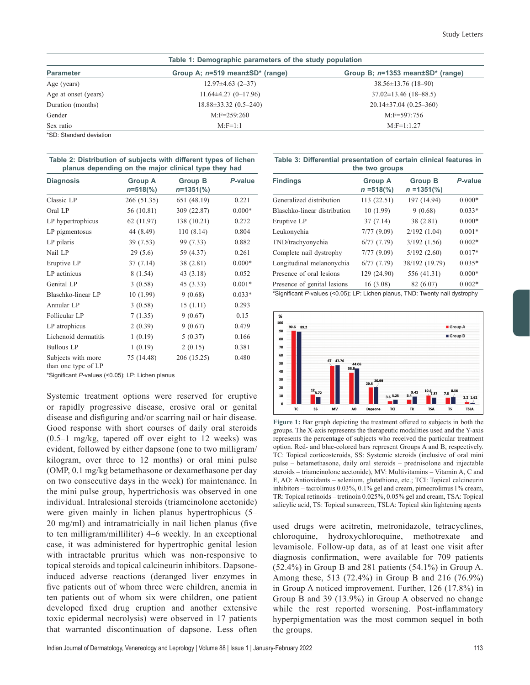| Table 1: Demographic parameters of the study population |                                 |                                           |  |
|---------------------------------------------------------|---------------------------------|-------------------------------------------|--|
| <b>Parameter</b>                                        | Group A: n=519 mean±SD* (range) | Group B; $n=1353$ mean $\pm SD^*$ (range) |  |
| Age (years)                                             | $12.97\pm4.63$ $(2-37)$         | $38.56 \pm 13.76$ (18-90)                 |  |
| Age at onset (years)                                    | $11.64\pm4.27(0-17.96)$         | $37.02 \pm 13.46$ (18-88.5)               |  |
| Duration (months)                                       | $18.88\pm33.32(0.5-240)$        | $20.14\pm37.04(0.25-360)$                 |  |
| Gender                                                  | $M:$ F=259:260                  | $M:$ F=597:756                            |  |
| Sex ratio                                               | $M:$ F=1:1                      | $M:$ F=1:1.27                             |  |
| <b>*CD</b> : Ctandard doviation                         |                                 |                                           |  |

SD: Standard deviation

| Table 2: Distribution of subjects with different types of lichen |  |
|------------------------------------------------------------------|--|
| planus depending on the major clinical type they had             |  |

| <b>Diagnosis</b>                          | <b>Group A</b><br>$n = 518\frac{6}{6}$ | <b>Group B</b><br>$n=1351(\%)$ | P-value  |
|-------------------------------------------|----------------------------------------|--------------------------------|----------|
| Classic LP                                | 266 (51.35)                            | 651 (48.19)                    | 0.221    |
| Oral LP                                   | 56 (10.81)                             | 309 (22.87)                    | $0.000*$ |
| LP hypertrophicus                         | 62 (11.97)                             | 138 (10.21)                    | 0.272    |
| LP pigmentosus                            | 44 (8.49)                              | 110(8.14)                      | 0.804    |
| LP pilaris                                | 39 (7.53)                              | 99 (7.33)                      | 0.882    |
| Nail LP                                   | 29(5.6)                                | 59 (4.37)                      | 0.261    |
| Eruptive LP                               | 37(7.14)                               | 38 (2.81)                      | $0.000*$ |
| LP actinicus                              | 8(1.54)                                | 43 (3.18)                      | 0.052    |
| Genital LP                                | 3(0.58)                                | 45(3.33)                       | $0.001*$ |
| Blaschko-linear LP                        | 10(1.99)                               | 9(0.68)                        | $0.033*$ |
| Annular LP                                | 3(0.58)                                | 15(1.11)                       | 0.293    |
| Follicular LP                             | 7(1.35)                                | 9(0.67)                        | 0.15     |
| LP atrophicus                             | 2(0.39)                                | 9(0.67)                        | 0.479    |
| Lichenoid dermatitis                      | 1(0.19)                                | 5(0.37)                        | 0.166    |
| <b>Bullous LP</b>                         | 1(0.19)                                | 2(0.15)                        | 0.381    |
| Subjects with more<br>than one type of LP | 75 (14.48)                             | 206 (15.25)                    | 0.480    |

\*Significant *P*-values (<0.05); LP: Lichen planus

Systemic treatment options were reserved for eruptive or rapidly progressive disease, erosive oral or genital disease and disfiguring and/or scarring nail or hair disease. Good response with short courses of daily oral steroids (0.5–1 mg/kg, tapered off over eight to 12 weeks) was evident, followed by either dapsone (one to two milligram/ kilogram, over three to 12 months) or oral mini pulse (OMP, 0.1 mg/kg betamethasone or dexamethasone per day on two consecutive days in the week) for maintenance. In the mini pulse group, hypertrichosis was observed in one individual. Intralesional steroids (triamcinolone acetonide) were given mainly in lichen planus hypertrophicus (5– 20 mg/ml) and intramatricially in nail lichen planus (five to ten milligram/milliliter) 4–6 weekly. In an exceptional case, it was administered for hypertrophic genital lesion with intractable pruritus which was non-responsive to topical steroids and topical calcineurin inhibitors. Dapsoneinduced adverse reactions (deranged liver enzymes in five patients out of whom three were children, anemia in ten patients out of whom six were children, one patient developed fixed drug eruption and another extensive toxic epidermal necrolysis) were observed in 17 patients that warranted discontinuation of dapsone. Less often

| Table 3: Differential presentation of certain clinical features in |  |  |  |  |  |
|--------------------------------------------------------------------|--|--|--|--|--|
| the two groups                                                     |  |  |  |  |  |

| <b>Findings</b>              | <b>Group A</b><br>$n = 518\%$ | <b>Group B</b><br>$n = 1351\frac{6}{6}$ | P-value  |
|------------------------------|-------------------------------|-----------------------------------------|----------|
| Generalized distribution     | 113 (22.51)                   | 197 (14.94)                             | $0.000*$ |
| Blaschko-linear distribution | 10(1.99)                      | 9(0.68)                                 | $0.033*$ |
| Eruptive LP                  | 37(7.14)                      | 38 (2.81)                               | $0.000*$ |
| Leukonychia                  | 7/77(9.09)                    | 2/192(1.04)                             | $0.001*$ |
| TND/trachyonychia            | 6/77(7.79)                    | 3/192(1.56)                             | $0.002*$ |
| Complete nail dystrophy      | 7/77(9.09)                    | 5/192(2.60)                             | $0.017*$ |
| Longitudinal melanonychia    | 6/77(7.79)                    | 38/192 (19.79)                          | $0.035*$ |
| Presence of oral lesions     | 129 (24.90)                   | 556 (41.31)                             | $0.000*$ |
| Presence of genital lesions  | 16(3.08)                      | 82 (6.07)                               | $0.002*$ |

\*Significant *P*-values (<0.05); LP: Lichen planus, TND: Twenty nail dystrophy



**Figure 1:** Bar graph depicting the treatment offered to subjects in both the groups. The X-axis represents the therapeutic modalities used and the Y-axis represents the percentage of subjects who received the particular treatment option. Red- and blue-colored bars represent Groups A and B, respectively. TC: Topical corticosteroids, SS: Systemic steroids (inclusive of oral mini pulse – betamethasone, daily oral steroids – prednisolone and injectable steroids – triamcinolone acetonide), MV: Multivitamins – Vitamin A, C and E, AO: Antioxidants – selenium, glutathione, etc.; TCI: Topical calcineurin inhibitors – tacrolimus 0.03%, 0.1% gel and cream, pimecrolimus 1% cream, TR: Topical retinoids – tretinoin 0.025%, 0.05% gel and cream, TSA: Topical salicylic acid, TS: Topical sunscreen, TSLA: Topical skin lightening agents

used drugs were acitretin, metronidazole, tetracyclines, chloroquine, hydroxychloroquine, methotrexate and levamisole. Follow-up data, as of at least one visit after diagnosis confirmation, were available for 709 patients (52.4%) in Group B and 281 patients (54.1%) in Group A. Among these, 513 (72.4%) in Group B and 216 (76.9%) in Group A noticed improvement. Further, 126 (17.8%) in Group B and 39 (13.9%) in Group A observed no change while the rest reported worsening. Post-inflammatory hyperpigmentation was the most common sequel in both the groups.